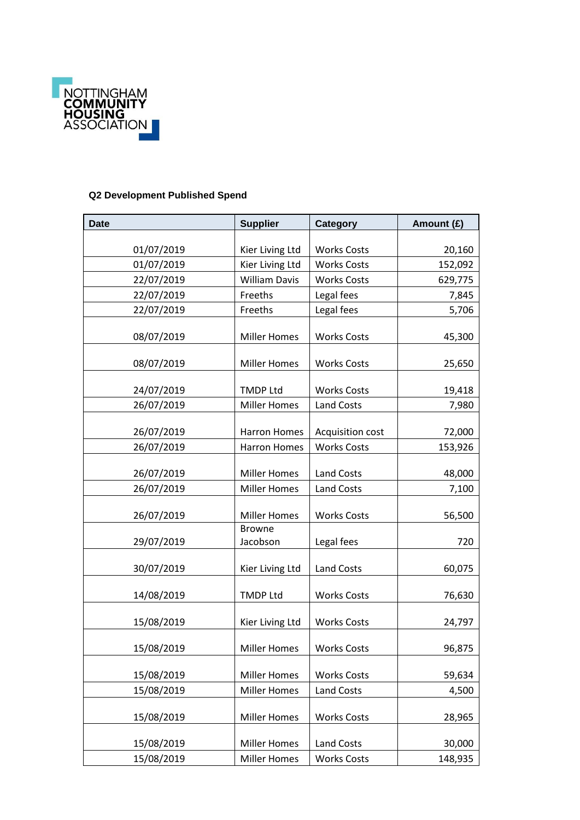

## **Q2 Development Published Spend**

| <b>Date</b> | <b>Supplier</b>      | Category           | Amount (£) |
|-------------|----------------------|--------------------|------------|
|             |                      |                    |            |
| 01/07/2019  | Kier Living Ltd      | <b>Works Costs</b> | 20,160     |
| 01/07/2019  | Kier Living Ltd      | <b>Works Costs</b> | 152,092    |
| 22/07/2019  | <b>William Davis</b> | <b>Works Costs</b> | 629,775    |
| 22/07/2019  | Freeths              | Legal fees         | 7,845      |
| 22/07/2019  | Freeths              | Legal fees         | 5,706      |
| 08/07/2019  | <b>Miller Homes</b>  | <b>Works Costs</b> | 45,300     |
| 08/07/2019  | <b>Miller Homes</b>  | <b>Works Costs</b> | 25,650     |
| 24/07/2019  | <b>TMDP Ltd</b>      | <b>Works Costs</b> | 19,418     |
| 26/07/2019  | <b>Miller Homes</b>  | <b>Land Costs</b>  | 7,980      |
| 26/07/2019  | <b>Harron Homes</b>  | Acquisition cost   | 72,000     |
| 26/07/2019  | <b>Harron Homes</b>  | <b>Works Costs</b> | 153,926    |
| 26/07/2019  | <b>Miller Homes</b>  | Land Costs         | 48,000     |
| 26/07/2019  | <b>Miller Homes</b>  | <b>Land Costs</b>  | 7,100      |
| 26/07/2019  | <b>Miller Homes</b>  | <b>Works Costs</b> | 56,500     |
|             | <b>Browne</b>        |                    |            |
| 29/07/2019  | Jacobson             | Legal fees         | 720        |
| 30/07/2019  | Kier Living Ltd      | <b>Land Costs</b>  | 60,075     |
| 14/08/2019  | <b>TMDP Ltd</b>      | <b>Works Costs</b> | 76,630     |
| 15/08/2019  | Kier Living Ltd      | <b>Works Costs</b> | 24,797     |
| 15/08/2019  | Miller Homes         | <b>Works Costs</b> | 96,875     |
| 15/08/2019  | <b>Miller Homes</b>  | <b>Works Costs</b> | 59,634     |
| 15/08/2019  | <b>Miller Homes</b>  | <b>Land Costs</b>  | 4,500      |
| 15/08/2019  | <b>Miller Homes</b>  | <b>Works Costs</b> | 28,965     |
| 15/08/2019  | <b>Miller Homes</b>  | Land Costs         | 30,000     |
| 15/08/2019  | <b>Miller Homes</b>  | <b>Works Costs</b> | 148,935    |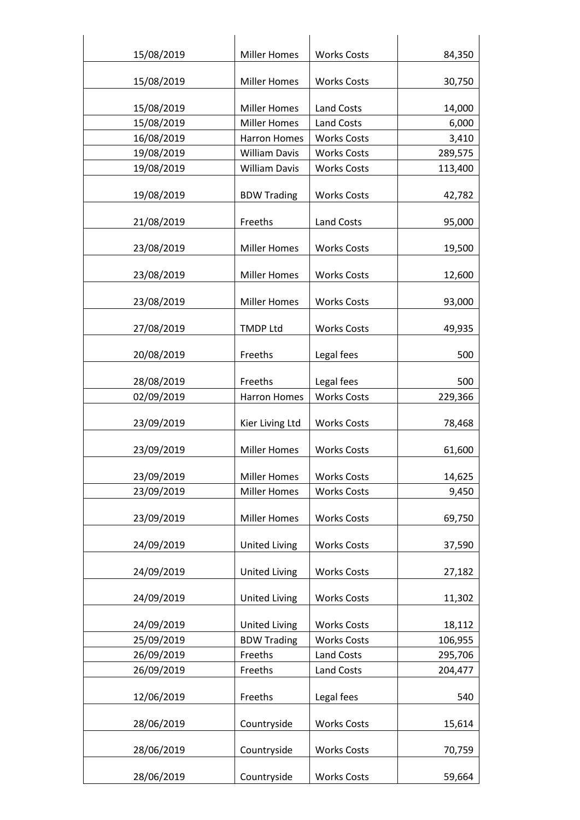| 15/08/2019 | <b>Miller Homes</b>  | <b>Works Costs</b> | 84,350  |
|------------|----------------------|--------------------|---------|
| 15/08/2019 | <b>Miller Homes</b>  | <b>Works Costs</b> | 30,750  |
|            |                      |                    |         |
| 15/08/2019 | <b>Miller Homes</b>  | <b>Land Costs</b>  | 14,000  |
| 15/08/2019 | <b>Miller Homes</b>  | <b>Land Costs</b>  | 6,000   |
| 16/08/2019 | <b>Harron Homes</b>  | <b>Works Costs</b> | 3,410   |
| 19/08/2019 | <b>William Davis</b> | <b>Works Costs</b> | 289,575 |
| 19/08/2019 | <b>William Davis</b> | <b>Works Costs</b> | 113,400 |
|            |                      |                    |         |
| 19/08/2019 | <b>BDW Trading</b>   | <b>Works Costs</b> | 42,782  |
| 21/08/2019 | Freeths              | <b>Land Costs</b>  | 95,000  |
|            |                      |                    |         |
| 23/08/2019 | <b>Miller Homes</b>  | <b>Works Costs</b> | 19,500  |
| 23/08/2019 | <b>Miller Homes</b>  | <b>Works Costs</b> | 12,600  |
|            |                      |                    |         |
| 23/08/2019 | <b>Miller Homes</b>  | <b>Works Costs</b> | 93,000  |
|            |                      |                    |         |
| 27/08/2019 | <b>TMDP Ltd</b>      | <b>Works Costs</b> | 49,935  |
| 20/08/2019 | Freeths              | Legal fees         | 500     |
|            |                      |                    |         |
| 28/08/2019 | Freeths              | Legal fees         | 500     |
| 02/09/2019 | <b>Harron Homes</b>  | <b>Works Costs</b> | 229,366 |
|            |                      |                    |         |
| 23/09/2019 | Kier Living Ltd      | <b>Works Costs</b> | 78,468  |
| 23/09/2019 | <b>Miller Homes</b>  | <b>Works Costs</b> | 61,600  |
|            |                      |                    |         |
| 23/09/2019 | <b>Miller Homes</b>  | <b>Works Costs</b> | 14,625  |
| 23/09/2019 | <b>Miller Homes</b>  | <b>Works Costs</b> | 9,450   |
|            | <b>Miller Homes</b>  |                    |         |
| 23/09/2019 |                      | <b>Works Costs</b> | 69,750  |
| 24/09/2019 | <b>United Living</b> | <b>Works Costs</b> | 37,590  |
|            |                      |                    |         |
| 24/09/2019 | <b>United Living</b> | <b>Works Costs</b> | 27,182  |
| 24/09/2019 | <b>United Living</b> | <b>Works Costs</b> | 11,302  |
|            |                      |                    |         |
| 24/09/2019 | <b>United Living</b> | <b>Works Costs</b> | 18,112  |
| 25/09/2019 | <b>BDW Trading</b>   | <b>Works Costs</b> | 106,955 |
| 26/09/2019 | Freeths              | Land Costs         | 295,706 |
| 26/09/2019 | Freeths              | <b>Land Costs</b>  | 204,477 |
|            |                      |                    |         |
| 12/06/2019 | Freeths              | Legal fees         | 540     |
| 28/06/2019 | Countryside          | <b>Works Costs</b> | 15,614  |
|            |                      |                    |         |
| 28/06/2019 | Countryside          | <b>Works Costs</b> | 70,759  |
|            |                      |                    |         |
| 28/06/2019 | Countryside          | <b>Works Costs</b> | 59,664  |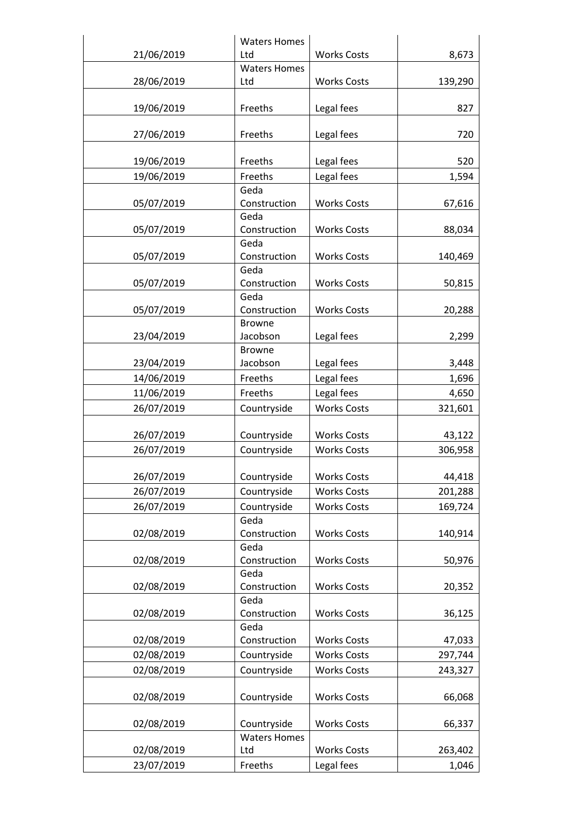|            | <b>Waters Homes</b>  |                    |         |
|------------|----------------------|--------------------|---------|
| 21/06/2019 | Ltd                  | <b>Works Costs</b> | 8,673   |
|            | <b>Waters Homes</b>  |                    |         |
| 28/06/2019 | Ltd                  | <b>Works Costs</b> | 139,290 |
|            |                      |                    |         |
| 19/06/2019 | Freeths              | Legal fees         | 827     |
| 27/06/2019 | Freeths              | Legal fees         | 720     |
|            |                      |                    |         |
| 19/06/2019 | Freeths              | Legal fees         | 520     |
| 19/06/2019 | Freeths              | Legal fees         | 1,594   |
|            | Geda                 |                    |         |
| 05/07/2019 | Construction         | <b>Works Costs</b> | 67,616  |
|            | Geda                 |                    |         |
| 05/07/2019 | Construction         | <b>Works Costs</b> | 88,034  |
|            | Geda                 |                    |         |
| 05/07/2019 | Construction<br>Geda | <b>Works Costs</b> | 140,469 |
| 05/07/2019 | Construction         | <b>Works Costs</b> | 50,815  |
|            | Geda                 |                    |         |
| 05/07/2019 | Construction         | <b>Works Costs</b> | 20,288  |
|            | <b>Browne</b>        |                    |         |
| 23/04/2019 | Jacobson             | Legal fees         | 2,299   |
|            | <b>Browne</b>        |                    |         |
| 23/04/2019 | Jacobson             | Legal fees         | 3,448   |
| 14/06/2019 | Freeths              | Legal fees         | 1,696   |
| 11/06/2019 | Freeths              | Legal fees         | 4,650   |
| 26/07/2019 | Countryside          | <b>Works Costs</b> | 321,601 |
|            |                      | <b>Works Costs</b> |         |
| 26/07/2019 | Countryside          |                    | 43,122  |
| 26/07/2019 | Countryside          | <b>Works Costs</b> | 306,958 |
| 26/07/2019 | Countryside          | <b>Works Costs</b> | 44,418  |
| 26/07/2019 | Countryside          | <b>Works Costs</b> | 201,288 |
| 26/07/2019 | Countryside          | <b>Works Costs</b> | 169,724 |
|            | Geda                 |                    |         |
| 02/08/2019 | Construction         | <b>Works Costs</b> | 140,914 |
|            | Geda                 |                    |         |
| 02/08/2019 | Construction         | <b>Works Costs</b> | 50,976  |
|            | Geda                 |                    |         |
| 02/08/2019 | Construction         | <b>Works Costs</b> | 20,352  |
| 02/08/2019 | Geda<br>Construction | <b>Works Costs</b> | 36,125  |
|            | Geda                 |                    |         |
| 02/08/2019 | Construction         | <b>Works Costs</b> | 47,033  |
| 02/08/2019 | Countryside          | <b>Works Costs</b> | 297,744 |
| 02/08/2019 | Countryside          | <b>Works Costs</b> | 243,327 |
|            |                      |                    |         |
| 02/08/2019 | Countryside          | <b>Works Costs</b> | 66,068  |
|            |                      |                    |         |
| 02/08/2019 | Countryside          | <b>Works Costs</b> | 66,337  |
|            | <b>Waters Homes</b>  |                    |         |
| 02/08/2019 | Ltd                  | <b>Works Costs</b> | 263,402 |
| 23/07/2019 | Freeths              | Legal fees         | 1,046   |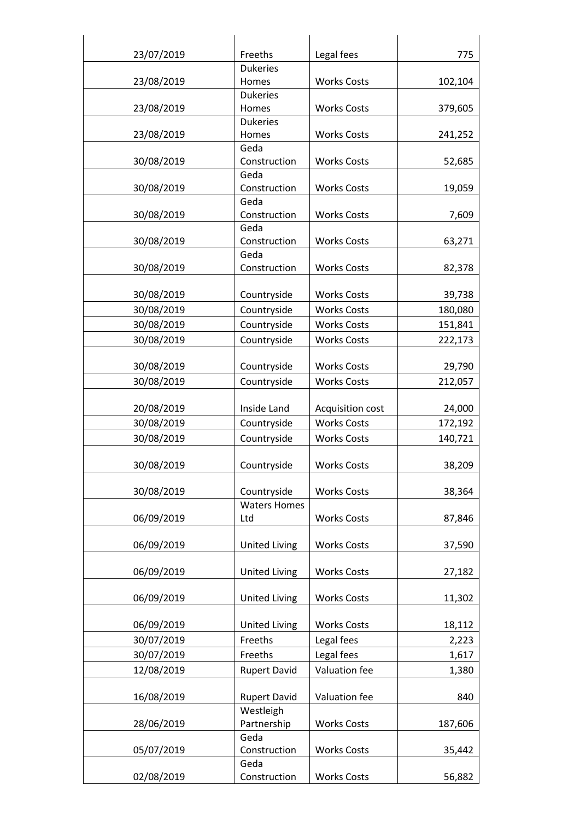| 23/07/2019 | Freeths                          | Legal fees         | 775     |
|------------|----------------------------------|--------------------|---------|
|            | <b>Dukeries</b>                  |                    |         |
| 23/08/2019 | Homes                            | <b>Works Costs</b> | 102,104 |
|            | <b>Dukeries</b>                  |                    |         |
| 23/08/2019 | Homes                            | <b>Works Costs</b> | 379,605 |
|            | <b>Dukeries</b>                  |                    |         |
| 23/08/2019 | Homes                            | <b>Works Costs</b> | 241,252 |
|            | Geda                             |                    |         |
| 30/08/2019 | Construction                     | <b>Works Costs</b> | 52,685  |
| 30/08/2019 | Geda<br>Construction             | <b>Works Costs</b> | 19,059  |
|            | Geda                             |                    |         |
| 30/08/2019 | Construction                     | <b>Works Costs</b> | 7,609   |
|            | Geda                             |                    |         |
| 30/08/2019 | Construction                     | <b>Works Costs</b> | 63,271  |
|            | Geda                             |                    |         |
| 30/08/2019 | Construction                     | <b>Works Costs</b> | 82,378  |
|            |                                  |                    |         |
| 30/08/2019 | Countryside                      | <b>Works Costs</b> | 39,738  |
| 30/08/2019 | Countryside                      | <b>Works Costs</b> | 180,080 |
| 30/08/2019 | Countryside                      | <b>Works Costs</b> | 151,841 |
| 30/08/2019 | Countryside                      | <b>Works Costs</b> | 222,173 |
|            |                                  |                    |         |
| 30/08/2019 | Countryside                      | <b>Works Costs</b> | 29,790  |
| 30/08/2019 | Countryside                      | <b>Works Costs</b> | 212,057 |
|            |                                  |                    |         |
| 20/08/2019 | Inside Land                      | Acquisition cost   | 24,000  |
| 30/08/2019 | Countryside                      | <b>Works Costs</b> | 172,192 |
| 30/08/2019 | Countryside                      | <b>Works Costs</b> | 140,721 |
|            |                                  |                    |         |
| 30/08/2019 | Countryside                      | <b>Works Costs</b> | 38,209  |
|            |                                  |                    |         |
| 30/08/2019 | Countryside                      | <b>Works Costs</b> | 38,364  |
|            | <b>Waters Homes</b>              |                    |         |
| 06/09/2019 | Ltd                              | <b>Works Costs</b> | 87,846  |
|            |                                  |                    |         |
| 06/09/2019 | <b>United Living</b>             | <b>Works Costs</b> | 37,590  |
|            |                                  |                    |         |
| 06/09/2019 | <b>United Living</b>             | <b>Works Costs</b> | 27,182  |
|            |                                  |                    |         |
| 06/09/2019 | <b>United Living</b>             | <b>Works Costs</b> | 11,302  |
| 06/09/2019 | <b>United Living</b>             | <b>Works Costs</b> | 18,112  |
| 30/07/2019 | Freeths                          | Legal fees         | 2,223   |
|            |                                  |                    |         |
| 30/07/2019 | Freeths                          | Legal fees         | 1,617   |
| 12/08/2019 | <b>Rupert David</b>              | Valuation fee      | 1,380   |
|            |                                  |                    |         |
| 16/08/2019 | <b>Rupert David</b><br>Westleigh | Valuation fee      | 840     |
| 28/06/2019 | Partnership                      | <b>Works Costs</b> | 187,606 |
|            | Geda                             |                    |         |
| 05/07/2019 | Construction                     | <b>Works Costs</b> | 35,442  |
|            | Geda                             |                    |         |
| 02/08/2019 | Construction                     | <b>Works Costs</b> | 56,882  |